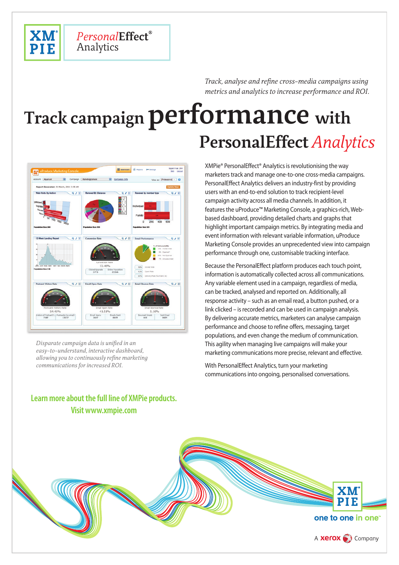

*Track, analyse and refine cross-media campaigns using metrics and analytics to increase performance and ROI.*

# **Track campaign performance with PersonalEffect** *Analytics*



Analytics

*Personal***Effect**

*Disparate campaign data is unified in an easy-to-understand, interactive dashboard, allowing you to continuously refine marketing communications for increased ROI.*

## **Learn more about the full line of XMPie products. Visit www.xmpie.com**

XMPie® PersonalEffect® Analytics is revolutionising the way marketers track and manage one-to-one cross-media campaigns. PersonalEffect Analytics delivers an industry-first by providing users with an end-to-end solution to track recipient-level campaign activity across all media channels. In addition, it features the uProduce™ Marketing Console, a graphics-rich, Webbased dashboard, providing detailed charts and graphs that highlight important campaign metrics. By integrating media and event information with relevant variable information, uProduce Marketing Console provides an unprecedented view into campaign performance through one, customisable tracking interface.

Because the PersonalEffect platform produces each touch point, information is automatically collected across all communications. Any variable element used in a campaign, regardless of media, can be tracked, analysed and reported on. Additionally, all response activity – such as an email read, a button pushed, or a link clicked – is recorded and can be used in campaign analysis. By delivering accurate metrics, marketers can analyse campaign performance and choose to refine offers, messaging, target populations, and even change the medium of communication. This agility when managing live campaigns will make your marketing communications more precise, relevant and effective.

With PersonalEffect Analytics, turn your marketing communications into ongoing, personalised conversations.